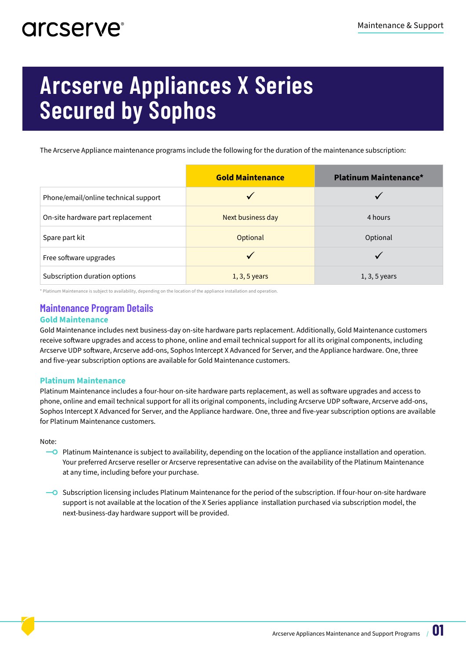# arcserve<sup>®</sup>

# **Arcserve Appliances X Series Secured by Sophos**

The Arcserve Appliance maintenance programs include the following for the duration of the maintenance subscription:

|                                      | <b>Gold Maintenance</b> | <b>Platinum Maintenance*</b> |
|--------------------------------------|-------------------------|------------------------------|
| Phone/email/online technical support |                         |                              |
| On-site hardware part replacement    | Next business day       | 4 hours                      |
| Spare part kit                       | Optional                | Optional                     |
| Free software upgrades               |                         |                              |
| Subscription duration options        | $1, 3, 5$ years         | $1, 3, 5$ years              |

\* Platinum Maintenance is subject to availability, depending on the location of the appliance installation and operation.

## **Maintenance Program Details**

#### **Gold Maintenance**

Gold Maintenance includes next business-day on-site hardware parts replacement. Additionally, Gold Maintenance customers receive software upgrades and access to phone, online and email technical support for all its original components, including Arcserve UDP software, Arcserve add-ons, Sophos Intercept X Advanced for Server, and the Appliance hardware. One, three and five-year subscription options are available for Gold Maintenance customers.

#### **Platinum Maintenance**

Platinum Maintenance includes a four-hour on-site hardware parts replacement, as well as software upgrades and access to phone, online and email technical support for all its original components, including Arcserve UDP software, Arcserve add-ons, Sophos Intercept X Advanced for Server, and the Appliance hardware. One, three and five-year subscription options are available for Platinum Maintenance customers.

Note:

- $\overline{\phantom{a}}$  Platinum Maintenance is subject to availability, depending on the location of the appliance installation and operation. Your preferred Arcserve reseller or Arcserve representative can advise on the availability of the Platinum Maintenance at any time, including before your purchase.
- $\sim$  Subscription licensing includes Platinum Maintenance for the period of the subscription. If four-hour on-site hardware support is not available at the location of the X Series appliance installation purchased via subscription model, the next-business-day hardware support will be provided.